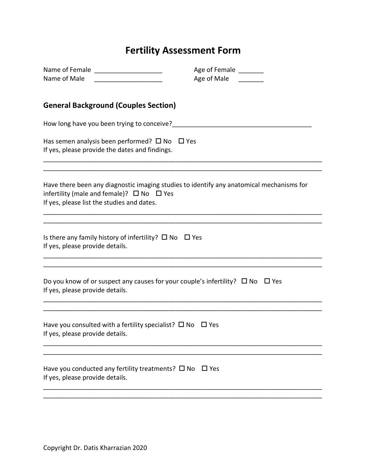# **Fertility Assessment Form**

|                                                                                                                 | Age of Female ______                                                                     |  |
|-----------------------------------------------------------------------------------------------------------------|------------------------------------------------------------------------------------------|--|
| Name of Male                                                                                                    | Age of Male                                                                              |  |
| <b>General Background (Couples Section)</b>                                                                     |                                                                                          |  |
|                                                                                                                 |                                                                                          |  |
| Has semen analysis been performed? $\square$ No $\square$ Yes<br>If yes, please provide the dates and findings. |                                                                                          |  |
| infertility (male and female)? $\Box$ No $\Box$ Yes<br>If yes, please list the studies and dates.               | Have there been any diagnostic imaging studies to identify any anatomical mechanisms for |  |
| Is there any family history of infertility? $\square$ No $\square$ Yes<br>If yes, please provide details.       |                                                                                          |  |
| If yes, please provide details.                                                                                 | Do you know of or suspect any causes for your couple's infertility? $\Box$ No $\Box$ Yes |  |
| Have you consulted with a fertility specialist? $\square$ No $\square$ Yes<br>If yes, please provide details.   |                                                                                          |  |
| Have you conducted any fertility treatments? $\square$ No $\square$ Yes<br>If yes, please provide details.      |                                                                                          |  |
|                                                                                                                 |                                                                                          |  |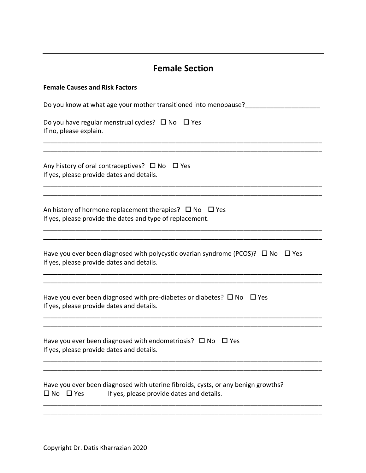## **Female Section**

| <b>Female Causes and Risk Factors</b>                                                                                                                  |
|--------------------------------------------------------------------------------------------------------------------------------------------------------|
| Do you know at what age your mother transitioned into menopause?_______                                                                                |
| Do you have regular menstrual cycles? $\Box$ No $\Box$ Yes<br>If no, please explain.                                                                   |
| Any history of oral contraceptives? $\Box$ No $\Box$ Yes<br>If yes, please provide dates and details.                                                  |
| An history of hormone replacement therapies? $\Box$ No $\Box$ Yes<br>If yes, please provide the dates and type of replacement.                         |
| Have you ever been diagnosed with polycystic ovarian syndrome (PCOS)? $\Box$ No $\Box$ Yes<br>If yes, please provide dates and details.                |
| Have you ever been diagnosed with pre-diabetes or diabetes? $\Box$ No $\Box$ Yes<br>If yes, please provide dates and details.                          |
| Have you ever been diagnosed with endometriosis? $\square$ No<br>$\Box$ Yes<br>If yes, please provide dates and details.                               |
| Have you ever been diagnosed with uterine fibroids, cysts, or any benign growths?<br>$\Box$ No $\Box$ Yes<br>If yes, please provide dates and details. |

\_\_\_\_\_\_\_\_\_\_\_\_\_\_\_\_\_\_\_\_\_\_\_\_\_\_\_\_\_\_\_\_\_\_\_\_\_\_\_\_\_\_\_\_\_\_\_\_\_\_\_\_\_\_\_\_\_\_\_\_\_\_\_\_\_\_\_\_\_\_\_\_\_\_\_\_\_\_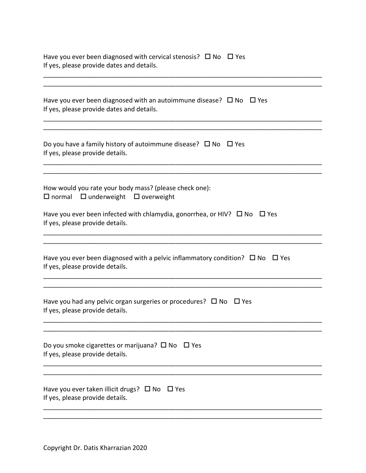| Have you ever been diagnosed with cervical stenosis? $\Box$ No $\Box$ Yes<br>If yes, please provide dates and details.     |
|----------------------------------------------------------------------------------------------------------------------------|
|                                                                                                                            |
| Have you ever been diagnosed with an autoimmune disease? $\Box$ No $\Box$ Yes<br>If yes, please provide dates and details. |
|                                                                                                                            |
| Do you have a family history of autoimmune disease? $\Box$ No $\Box$ Yes<br>If yes, please provide details.                |
|                                                                                                                            |
|                                                                                                                            |

How would you rate your body mass? (please check one):  $\Box$  normal  $\Box$  underweight  $\Box$  overweight

| Have you ever been infected with chlamydia, gonorrhea, or HIV? $\Box$ No $\Box$ Yes |  |
|-------------------------------------------------------------------------------------|--|
| If yes, please provide details.                                                     |  |

| Have you ever been diagnosed with a pelvic inflammatory condition? $\Box$ No $\Box$ Yes |  |
|-----------------------------------------------------------------------------------------|--|
| If yes, please provide details.                                                         |  |

\_\_\_\_\_\_\_\_\_\_\_\_\_\_\_\_\_\_\_\_\_\_\_\_\_\_\_\_\_\_\_\_\_\_\_\_\_\_\_\_\_\_\_\_\_\_\_\_\_\_\_\_\_\_\_\_\_\_\_\_\_\_\_\_\_\_\_\_\_\_\_\_\_\_\_\_\_\_

\_\_\_\_\_\_\_\_\_\_\_\_\_\_\_\_\_\_\_\_\_\_\_\_\_\_\_\_\_\_\_\_\_\_\_\_\_\_\_\_\_\_\_\_\_\_\_\_\_\_\_\_\_\_\_\_\_\_\_\_\_\_\_\_\_\_\_\_\_\_\_\_\_\_\_\_\_\_ \_\_\_\_\_\_\_\_\_\_\_\_\_\_\_\_\_\_\_\_\_\_\_\_\_\_\_\_\_\_\_\_\_\_\_\_\_\_\_\_\_\_\_\_\_\_\_\_\_\_\_\_\_\_\_\_\_\_\_\_\_\_\_\_\_\_\_\_\_\_\_\_\_\_\_\_\_\_

\_\_\_\_\_\_\_\_\_\_\_\_\_\_\_\_\_\_\_\_\_\_\_\_\_\_\_\_\_\_\_\_\_\_\_\_\_\_\_\_\_\_\_\_\_\_\_\_\_\_\_\_\_\_\_\_\_\_\_\_\_\_\_\_\_\_\_\_\_\_\_\_\_\_\_\_\_\_ \_\_\_\_\_\_\_\_\_\_\_\_\_\_\_\_\_\_\_\_\_\_\_\_\_\_\_\_\_\_\_\_\_\_\_\_\_\_\_\_\_\_\_\_\_\_\_\_\_\_\_\_\_\_\_\_\_\_\_\_\_\_\_\_\_\_\_\_\_\_\_\_\_\_\_\_\_\_

\_\_\_\_\_\_\_\_\_\_\_\_\_\_\_\_\_\_\_\_\_\_\_\_\_\_\_\_\_\_\_\_\_\_\_\_\_\_\_\_\_\_\_\_\_\_\_\_\_\_\_\_\_\_\_\_\_\_\_\_\_\_\_\_\_\_\_\_\_\_\_\_\_\_\_\_\_\_ \_\_\_\_\_\_\_\_\_\_\_\_\_\_\_\_\_\_\_\_\_\_\_\_\_\_\_\_\_\_\_\_\_\_\_\_\_\_\_\_\_\_\_\_\_\_\_\_\_\_\_\_\_\_\_\_\_\_\_\_\_\_\_\_\_\_\_\_\_\_\_\_\_\_\_\_\_\_

\_\_\_\_\_\_\_\_\_\_\_\_\_\_\_\_\_\_\_\_\_\_\_\_\_\_\_\_\_\_\_\_\_\_\_\_\_\_\_\_\_\_\_\_\_\_\_\_\_\_\_\_\_\_\_\_\_\_\_\_\_\_\_\_\_\_\_\_\_\_\_\_\_\_\_\_\_\_ \_\_\_\_\_\_\_\_\_\_\_\_\_\_\_\_\_\_\_\_\_\_\_\_\_\_\_\_\_\_\_\_\_\_\_\_\_\_\_\_\_\_\_\_\_\_\_\_\_\_\_\_\_\_\_\_\_\_\_\_\_\_\_\_\_\_\_\_\_\_\_\_\_\_\_\_\_\_

\_\_\_\_\_\_\_\_\_\_\_\_\_\_\_\_\_\_\_\_\_\_\_\_\_\_\_\_\_\_\_\_\_\_\_\_\_\_\_\_\_\_\_\_\_\_\_\_\_\_\_\_\_\_\_\_\_\_\_\_\_\_\_\_\_\_\_\_\_\_\_\_\_\_\_\_\_\_

Have you had any pelvic organ surgeries or procedures?  $\Box$  No  $\Box$  Yes If yes, please provide details.

| Do you smoke cigarettes or marijuana? $\square$ No $\square$ Yes |  |
|------------------------------------------------------------------|--|
| If yes, please provide details.                                  |  |

| Have you ever taken illicit drugs? $\Box$ No $\Box$ Yes |  |
|---------------------------------------------------------|--|
| If yes, please provide details.                         |  |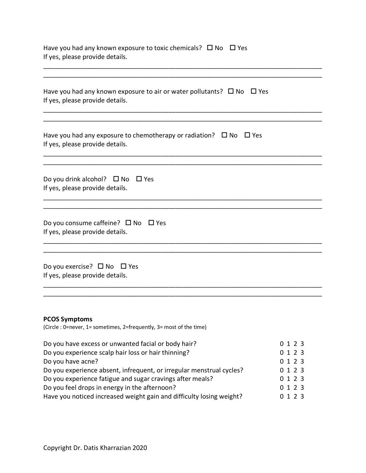| Have you had any known exposure to toxic chemicals? $\Box$ No $\Box$ Yes<br>If yes, please provide details.                                                                                                                                                                                                                                                                                   |                                                               |
|-----------------------------------------------------------------------------------------------------------------------------------------------------------------------------------------------------------------------------------------------------------------------------------------------------------------------------------------------------------------------------------------------|---------------------------------------------------------------|
| Have you had any known exposure to air or water pollutants? $\Box$ No $\Box$ Yes<br>If yes, please provide details.                                                                                                                                                                                                                                                                           |                                                               |
| Have you had any exposure to chemotherapy or radiation? $\Box$ No $\Box$ Yes<br>If yes, please provide details.                                                                                                                                                                                                                                                                               |                                                               |
| Do you drink alcohol? $\Box$ No $\Box$ Yes<br>If yes, please provide details.                                                                                                                                                                                                                                                                                                                 |                                                               |
| Do you consume caffeine? $\Box$ No $\Box$ Yes<br>If yes, please provide details.                                                                                                                                                                                                                                                                                                              |                                                               |
| Do you exercise? $\Box$ No $\Box$ Yes<br>If yes, please provide details.                                                                                                                                                                                                                                                                                                                      |                                                               |
| <b>PCOS Symptoms</b><br>(Circle : 0=never, 1= sometimes, 2=frequently, 3= most of the time)                                                                                                                                                                                                                                                                                                   |                                                               |
| Do you have excess or unwanted facial or body hair?<br>Do you experience scalp hair loss or hair thinning?<br>Do you have acne?<br>Do you experience absent, infrequent, or irregular menstrual cycles?<br>Do you experience fatigue and sugar cravings after meals?<br>Do you feel drops in energy in the afternoon?<br>Have you noticed increased weight gain and difficulty losing weight? | 0 1 2 3<br>0 1 2 3<br>0123<br>0123<br>0123<br>0123<br>0 1 2 3 |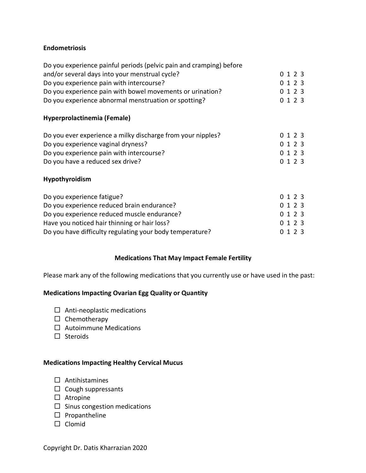#### **Endometriosis**

| Do you experience painful periods (pelvic pain and cramping) before<br>and/or several days into your menstrual cycle?<br>Do you experience pain with intercourse?<br>Do you experience pain with bowel movements or urination?<br>Do you experience abnormal menstruation or spotting? | 0123<br>0 1 2 3<br>0 1 2 3<br>0 1 2 3 |
|----------------------------------------------------------------------------------------------------------------------------------------------------------------------------------------------------------------------------------------------------------------------------------------|---------------------------------------|
| Hyperprolactinemia (Female)                                                                                                                                                                                                                                                            |                                       |
| Do you ever experience a milky discharge from your nipples?<br>Do you experience vaginal dryness?<br>Do you experience pain with intercourse?<br>Do you have a reduced sex drive?                                                                                                      | 0 1 2 3<br>0, 1, 2, 3<br>0123<br>0123 |
| <b>Hypothyroidism</b>                                                                                                                                                                                                                                                                  |                                       |
| Do you experience fatigue?<br>Do you experience reduced brain endurance?<br>Do you experience reduced muscle endurance?                                                                                                                                                                | 0 1 2 3<br>0 1 2 3<br>1 2 3           |

Have you noticed hair thinning or hair loss? 0 1 2 3 Do you have difficulty regulating your body temperature? 0 1 2 3

#### **Medications That May Impact Female Fertility**

Please mark any of the following medications that you currently use or have used in the past:

#### **Medications Impacting Ovarian Egg Quality or Quantity**

- $\square$  Anti-neoplastic medications
- $\square$  Chemotherapy
- $\Box$  Autoimmune Medications
- $\square$  Steroids

#### **Medications Impacting Healthy Cervical Mucus**

- $\square$  Antihistamines
- $\square$  Cough suppressants
- $\square$  Atropine
- $\square$  Sinus congestion medications
- $\square$  Propantheline
- $\square$  Clomid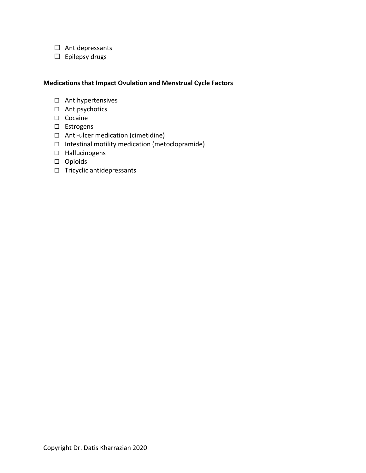- $\square$  Antidepressants
- $\square$  Epilepsy drugs

#### **Medications that Impact Ovulation and Menstrual Cycle Factors**

- □ Antihypertensives
- $\square$  Antipsychotics
- □ Cocaine
- □ Estrogens
- $\Box$  Anti-ulcer medication (cimetidine)
- $\Box$  Intestinal motility medication (metoclopramide)
- □ Hallucinogens
- □ Opioids
- $\Box$  Tricyclic antidepressants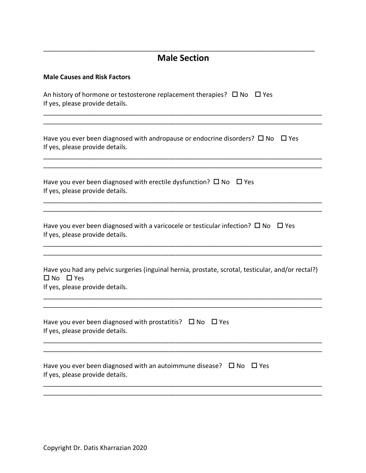### **Male Section**

\_\_\_\_\_\_\_\_\_\_\_\_\_\_\_\_\_\_\_\_\_\_\_\_\_\_\_\_\_\_\_\_\_\_\_\_\_\_\_\_\_\_\_\_\_\_\_\_\_\_\_\_\_\_\_\_\_\_\_\_\_\_\_\_\_\_\_\_\_\_\_\_\_\_\_\_\_\_ \_\_\_\_\_\_\_\_\_\_\_\_\_\_\_\_\_\_\_\_\_\_\_\_\_\_\_\_\_\_\_\_\_\_\_\_\_\_\_\_\_\_\_\_\_\_\_\_\_\_\_\_\_\_\_\_\_\_\_\_\_\_\_\_\_\_\_\_\_\_\_\_\_\_\_\_\_\_

\_\_\_\_\_\_\_\_\_\_\_\_\_\_\_\_\_\_\_\_\_\_\_\_\_\_\_\_\_\_\_\_\_\_\_\_\_\_\_\_\_\_\_\_\_\_\_\_\_\_\_\_\_\_\_\_\_\_\_\_\_\_\_\_\_\_\_\_\_\_\_\_\_\_\_\_\_\_ \_\_\_\_\_\_\_\_\_\_\_\_\_\_\_\_\_\_\_\_\_\_\_\_\_\_\_\_\_\_\_\_\_\_\_\_\_\_\_\_\_\_\_\_\_\_\_\_\_\_\_\_\_\_\_\_\_\_\_\_\_\_\_\_\_\_\_\_\_\_\_\_\_\_\_\_\_\_

\_\_\_\_\_\_\_\_\_\_\_\_\_\_\_\_\_\_\_\_\_\_\_\_\_\_\_\_\_\_\_\_\_\_\_\_\_\_\_\_\_\_\_\_\_\_\_\_\_\_\_\_\_\_\_\_\_\_\_\_\_\_\_\_\_\_\_\_\_\_\_\_\_\_\_\_\_\_ \_\_\_\_\_\_\_\_\_\_\_\_\_\_\_\_\_\_\_\_\_\_\_\_\_\_\_\_\_\_\_\_\_\_\_\_\_\_\_\_\_\_\_\_\_\_\_\_\_\_\_\_\_\_\_\_\_\_\_\_\_\_\_\_\_\_\_\_\_\_\_\_\_\_\_\_\_\_

\_\_\_\_\_\_\_\_\_\_\_\_\_\_\_\_\_\_\_\_\_\_\_\_\_\_\_\_\_\_\_\_\_\_\_\_\_\_\_\_\_\_\_\_\_\_\_\_\_\_\_\_\_\_\_\_\_\_\_\_\_\_\_\_\_\_\_\_\_\_\_\_\_\_\_\_

#### **Male Causes and Risk Factors**

An history of hormone or testosterone replacement therapies?  $\Box$  No  $\Box$  Yes If yes, please provide details.

Have you ever been diagnosed with andropause or endocrine disorders?  $\Box$  No  $\Box$  Yes If yes, please provide details.

Have you ever been diagnosed with erectile dysfunction?  $\Box$  No  $\Box$  Yes If yes, please provide details.

Have you ever been diagnosed with a varicocele or testicular infection?  $\Box$  No  $\Box$  Yes If yes, please provide details.

Have you had any pelvic surgeries (inguinal hernia, prostate, scrotal, testicular, and/or rectal?)  $\square$  No  $\square$  Yes If yes, please provide details.

\_\_\_\_\_\_\_\_\_\_\_\_\_\_\_\_\_\_\_\_\_\_\_\_\_\_\_\_\_\_\_\_\_\_\_\_\_\_\_\_\_\_\_\_\_\_\_\_\_\_\_\_\_\_\_\_\_\_\_\_\_\_\_\_\_\_\_\_\_\_\_\_\_\_\_\_\_\_ \_\_\_\_\_\_\_\_\_\_\_\_\_\_\_\_\_\_\_\_\_\_\_\_\_\_\_\_\_\_\_\_\_\_\_\_\_\_\_\_\_\_\_\_\_\_\_\_\_\_\_\_\_\_\_\_\_\_\_\_\_\_\_\_\_\_\_\_\_\_\_\_\_\_\_\_\_\_

\_\_\_\_\_\_\_\_\_\_\_\_\_\_\_\_\_\_\_\_\_\_\_\_\_\_\_\_\_\_\_\_\_\_\_\_\_\_\_\_\_\_\_\_\_\_\_\_\_\_\_\_\_\_\_\_\_\_\_\_\_\_\_\_\_\_\_\_\_\_\_\_\_\_\_\_\_\_

\_\_\_\_\_\_\_\_\_\_\_\_\_\_\_\_\_\_\_\_\_\_\_\_\_\_\_\_\_\_\_\_\_\_\_\_\_\_\_\_\_\_\_\_\_\_\_\_\_\_\_\_\_\_\_\_\_\_\_\_\_\_\_\_\_\_\_\_\_\_\_\_\_\_\_\_\_\_ \_\_\_\_\_\_\_\_\_\_\_\_\_\_\_\_\_\_\_\_\_\_\_\_\_\_\_\_\_\_\_\_\_\_\_\_\_\_\_\_\_\_\_\_\_\_\_\_\_\_\_\_\_\_\_\_\_\_\_\_\_\_\_\_\_\_\_\_\_\_\_\_\_\_\_\_\_\_

\_\_\_\_\_\_\_\_\_\_\_\_\_\_\_\_\_\_\_\_\_\_\_\_\_\_\_\_\_\_\_\_\_\_\_\_\_\_\_\_\_\_\_\_\_\_\_\_\_\_\_\_\_\_\_\_\_\_\_\_\_\_\_\_\_\_\_\_\_\_\_\_\_\_\_\_\_\_ \_\_\_\_\_\_\_\_\_\_\_\_\_\_\_\_\_\_\_\_\_\_\_\_\_\_\_\_\_\_\_\_\_\_\_\_\_\_\_\_\_\_\_\_\_\_\_\_\_\_\_\_\_\_\_\_\_\_\_\_\_\_\_\_\_\_\_\_\_\_\_\_\_\_\_\_\_\_

| Have you ever been diagnosed with prostatitis? $\Box$ No $\Box$ Yes |  |
|---------------------------------------------------------------------|--|
| If yes, please provide details.                                     |  |
|                                                                     |  |

| Have you ever been diagnosed with an autoimmune disease? $\Box$ No $\Box$ Yes |  |
|-------------------------------------------------------------------------------|--|
| If yes, please provide details.                                               |  |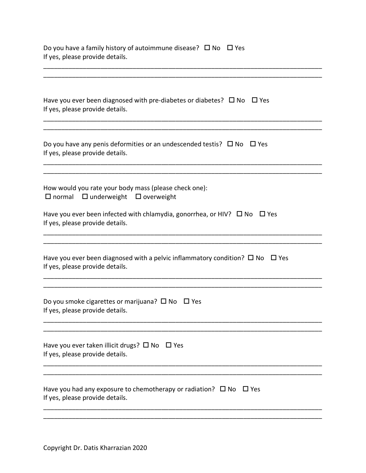| Do you have a family history of autoimmune disease? $\square$ No $\square$ Yes<br>If yes, please provide details.          |
|----------------------------------------------------------------------------------------------------------------------------|
|                                                                                                                            |
| Have you ever been diagnosed with pre-diabetes or diabetes? $\Box$ No $\Box$ Yes<br>If yes, please provide details.        |
| Do you have any penis deformities or an undescended testis? $\Box$ No $\Box$ Yes<br>If yes, please provide details.        |
| How would you rate your body mass (please check one):<br>$\Box$ normal $\Box$ underweight $\Box$ overweight                |
| Have you ever been infected with chlamydia, gonorrhea, or HIV? $\Box$ No $\Box$ Yes<br>If yes, please provide details.     |
| Have you ever been diagnosed with a pelvic inflammatory condition? $\Box$ No $\Box$ Yes<br>If yes, please provide details. |
| Do you smoke cigarettes or marijuana? $\square$ No $\square$ Yes<br>If yes, please provide details.                        |
| Have you ever taken illicit drugs? $\square$ No $\square$ Yes<br>If yes, please provide details.                           |
| Have you had any exposure to chemotherapy or radiation? $\Box$ No $\Box$ Yes<br>If yes, please provide details.            |
|                                                                                                                            |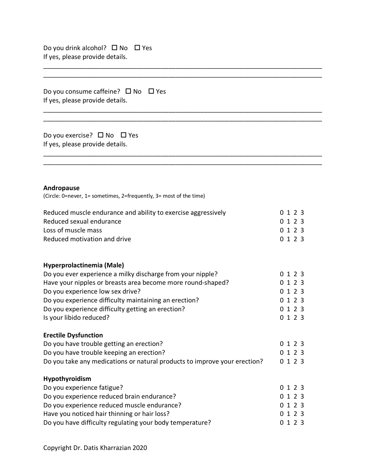Do you drink alcohol?  $\Box$  No  $\Box$  Yes If yes, please provide details.

Do you consume caffeine?  $\Box$  No  $\Box$  Yes If yes, please provide details.

Do you exercise?  $\Box$  No  $\Box$  Yes If yes, please provide details.

#### **Andropause**

(Circle: 0=never, 1= sometimes, 2=frequently, 3= most of the time)

| Reduced muscle endurance and ability to exercise aggressively | 0 1 2 3 |
|---------------------------------------------------------------|---------|
| Reduced sexual endurance                                      | 0 1 2 3 |
| Loss of muscle mass                                           | 0 1 2 3 |
| Reduced motivation and drive                                  | 0123    |

\_\_\_\_\_\_\_\_\_\_\_\_\_\_\_\_\_\_\_\_\_\_\_\_\_\_\_\_\_\_\_\_\_\_\_\_\_\_\_\_\_\_\_\_\_\_\_\_\_\_\_\_\_\_\_\_\_\_\_\_\_\_\_\_\_\_\_\_\_\_\_\_\_\_\_\_\_\_ \_\_\_\_\_\_\_\_\_\_\_\_\_\_\_\_\_\_\_\_\_\_\_\_\_\_\_\_\_\_\_\_\_\_\_\_\_\_\_\_\_\_\_\_\_\_\_\_\_\_\_\_\_\_\_\_\_\_\_\_\_\_\_\_\_\_\_\_\_\_\_\_\_\_\_\_\_\_

\_\_\_\_\_\_\_\_\_\_\_\_\_\_\_\_\_\_\_\_\_\_\_\_\_\_\_\_\_\_\_\_\_\_\_\_\_\_\_\_\_\_\_\_\_\_\_\_\_\_\_\_\_\_\_\_\_\_\_\_\_\_\_\_\_\_\_\_\_\_\_\_\_\_\_\_\_\_ \_\_\_\_\_\_\_\_\_\_\_\_\_\_\_\_\_\_\_\_\_\_\_\_\_\_\_\_\_\_\_\_\_\_\_\_\_\_\_\_\_\_\_\_\_\_\_\_\_\_\_\_\_\_\_\_\_\_\_\_\_\_\_\_\_\_\_\_\_\_\_\_\_\_\_\_\_\_

\_\_\_\_\_\_\_\_\_\_\_\_\_\_\_\_\_\_\_\_\_\_\_\_\_\_\_\_\_\_\_\_\_\_\_\_\_\_\_\_\_\_\_\_\_\_\_\_\_\_\_\_\_\_\_\_\_\_\_\_\_\_\_\_\_\_\_\_\_\_\_\_\_\_\_\_\_\_

\_\_\_\_\_\_\_\_\_\_\_\_\_\_\_\_\_\_\_\_\_\_\_\_\_\_\_\_\_\_\_\_\_\_\_\_\_\_\_\_\_\_\_\_\_\_\_\_\_\_\_\_\_\_\_\_\_\_\_\_\_\_\_\_\_\_\_\_\_\_\_\_\_\_\_\_\_\_

#### **Hyperprolactinemia (Male)**

| Do you ever experience a milky discharge from your nipple?  | 0 1 2 3    |
|-------------------------------------------------------------|------------|
| Have your nipples or breasts area become more round-shaped? | 0 1 2 3    |
| Do you experience low sex drive?                            | 0 1 2 3    |
| Do you experience difficulty maintaining an erection?       | 0 1 2 3    |
| Do you experience difficulty getting an erection?           | 0 1 2 3    |
| Is your libido reduced?                                     | 0, 1, 2, 3 |

#### **Erectile Dysfunction**

| Do you have trouble getting an erection?                                  | 0 1 2 3 |  |
|---------------------------------------------------------------------------|---------|--|
| Do you have trouble keeping an erection?                                  | 0 1 2 3 |  |
| Do you take any medications or natural products to improve your erection? | 0 1 2 3 |  |

#### **Hypothyroidism**

| Do you experience fatigue?                               | 0, 1, 2, 3 |
|----------------------------------------------------------|------------|
| Do you experience reduced brain endurance?               | 0 1 2 3    |
| Do you experience reduced muscle endurance?              | 0, 1, 2, 3 |
| Have you noticed hair thinning or hair loss?             | 0, 1, 2, 3 |
| Do you have difficulty regulating your body temperature? | 0, 1, 2, 3 |